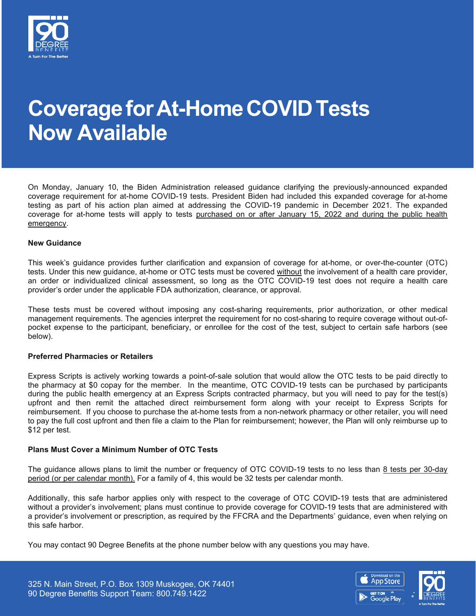

# **CoverageforAt-HomeCOVIDTests Now Available**

On Monday, January 10, the Biden Administration released guidance clarifying the previously-announced expanded coverage requirement for at-home COVID-19 tests. President Biden had included this expanded coverage for at-home testing as part of his action plan aimed at addressing the COVID-19 pandemic in December 2021. The expanded coverage for at-home tests will apply to tests purchased on or after January 15, 2022 and during the public health emergency.

#### **New Guidance**

This week's guidance provides further clarification and expansion of coverage for at-home, or over-the-counter (OTC) tests. Under this new guidance, at-home or OTC tests must be covered without the involvement of a health care provider, an order or individualized clinical assessment, so long as the OTC COVID-19 test does not require a health care provider's order under the applicable FDA authorization, clearance, or approval.

These tests must be covered without imposing any cost-sharing requirements, prior authorization, or other medical management requirements. The agencies interpret the requirement for no cost-sharing to require coverage without out-ofpocket expense to the participant, beneficiary, or enrollee for the cost of the test, subject to certain safe harbors (see below).

#### **Preferred Pharmacies or Retailers**

Express Scripts is actively working towards a point-of-sale solution that would allow the OTC tests to be paid directly to the pharmacy at \$0 copay for the member. In the meantime, OTC COVID-19 tests can be purchased by participants during the public health emergency at an Express Scripts contracted pharmacy, but you will need to pay for the test(s) upfront and then remit the attached direct reimbursement form along with your receipt to Express Scripts for reimbursement. If you choose to purchase the at-home tests from a non-network pharmacy or other retailer, you will need to pay the full cost upfront and then file a claim to the Plan for reimbursement; however, the Plan will only reimburse up to \$12 per test.

#### **Plans Must Cover a Minimum Number of OTC Tests**

The guidance allows plans to limit the number or frequency of OTC COVID-19 tests to no less than 8 tests per 30-day period (or per calendar month). For a family of 4, this would be 32 tests per calendar month.

Additionally, this safe harbor applies only with respect to the coverage of OTC COVID-19 tests that are administered without a provider's involvement; plans must continue to provide coverage for COVID-19 tests that are administered with a provider's involvement or prescription, as required by the FFCRA and the Departments' guidance, even when relying on this safe harbor.

You may contact 90 Degree Benefits at the phone number below with any questions you may have.

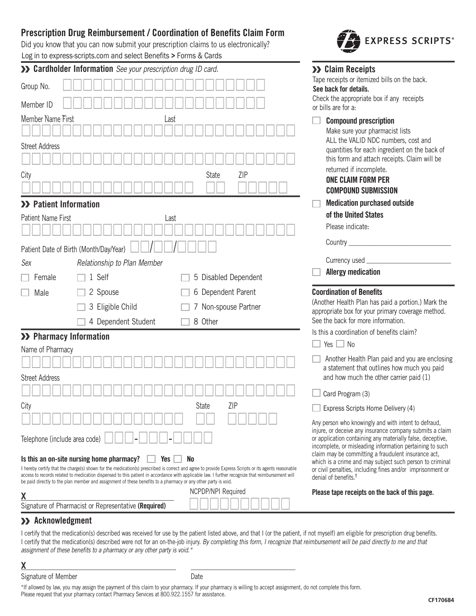# **Prescription Drug Reimbursement / Coordination of Benefits Claim Form Drug Reimbursement / Coordination of Benefits Claim Form**

Did you know that you can now submit your prescription claims to us electronically? Log in to express-scripts.com and select Benefits > Forms & Cards

| Tape receipts or itemized bills on the back.<br>Group No.<br>See back for details.<br>Check the appropriate box if any receipts<br>Member ID<br>or bills are for a:<br>Member Name First<br>Last<br><b>Compound prescription</b><br>Make sure your pharmacist lists<br>ALL the VALID NDC numbers, cost and<br><b>Street Address</b><br>quantities for each ingredient on the back of<br>this form and attach receipts. Claim will be<br>returned if incomplete.<br>ZIP<br>City<br>State<br><b>ONE CLAIM FORM PER</b><br><b>COMPOUND SUBMISSION</b><br><b>Medication purchased outside</b><br>>> Patient Information<br>of the United States<br>Patient Name First<br>Last<br>Please indicate:<br>Country $\_\_$<br>Patient Date of Birth (Month/Day/Year)<br>Currency used<br>Relationship to Plan Member<br>Sex<br><b>Allergy medication</b><br>1 Self<br>5 Disabled Dependent<br>Female<br>6 Dependent Parent<br><b>Coordination of Benefits</b><br>2 Spouse<br>Male<br>(Another Health Plan has paid a portion.) Mark the<br>3 Eligible Child<br>7 Non-spouse Partner<br>appropriate box for your primary coverage method.<br>See the back for more information.<br>8 Other<br>4 Dependent Student<br>Is this a coordination of benefits claim?<br>>> Pharmacy Information<br>Yes $\Box$ No<br>Name of Pharmacy<br>Another Health Plan paid and you are enclosing<br>a statement that outlines how much you paid<br>and how much the other carrier paid (1)<br><b>Street Address</b><br>Card Program (3)<br>ZIP<br>City<br>State<br>Express Scripts Home Delivery (4)<br>Any person who knowingly and with intent to defraud,<br>injure, or deceive any insurance company submits a claim<br>Telephone (include area code)<br>or application containing any materially false, deceptive,<br>incomplete, or misleading information pertaining to such<br>claim may be committing a fraudulent insurance act, | >> Cardholder Information See your prescription drug ID card. | >> Claim Receipts |
|----------------------------------------------------------------------------------------------------------------------------------------------------------------------------------------------------------------------------------------------------------------------------------------------------------------------------------------------------------------------------------------------------------------------------------------------------------------------------------------------------------------------------------------------------------------------------------------------------------------------------------------------------------------------------------------------------------------------------------------------------------------------------------------------------------------------------------------------------------------------------------------------------------------------------------------------------------------------------------------------------------------------------------------------------------------------------------------------------------------------------------------------------------------------------------------------------------------------------------------------------------------------------------------------------------------------------------------------------------------------------------------------------------------------------------------------------------------------------------------------------------------------------------------------------------------------------------------------------------------------------------------------------------------------------------------------------------------------------------------------------------------------------------------------------------------------------------------------------------------------------------------------------------------|---------------------------------------------------------------|-------------------|
|                                                                                                                                                                                                                                                                                                                                                                                                                                                                                                                                                                                                                                                                                                                                                                                                                                                                                                                                                                                                                                                                                                                                                                                                                                                                                                                                                                                                                                                                                                                                                                                                                                                                                                                                                                                                                                                                                                                |                                                               |                   |
|                                                                                                                                                                                                                                                                                                                                                                                                                                                                                                                                                                                                                                                                                                                                                                                                                                                                                                                                                                                                                                                                                                                                                                                                                                                                                                                                                                                                                                                                                                                                                                                                                                                                                                                                                                                                                                                                                                                |                                                               |                   |
|                                                                                                                                                                                                                                                                                                                                                                                                                                                                                                                                                                                                                                                                                                                                                                                                                                                                                                                                                                                                                                                                                                                                                                                                                                                                                                                                                                                                                                                                                                                                                                                                                                                                                                                                                                                                                                                                                                                |                                                               |                   |
|                                                                                                                                                                                                                                                                                                                                                                                                                                                                                                                                                                                                                                                                                                                                                                                                                                                                                                                                                                                                                                                                                                                                                                                                                                                                                                                                                                                                                                                                                                                                                                                                                                                                                                                                                                                                                                                                                                                |                                                               |                   |
|                                                                                                                                                                                                                                                                                                                                                                                                                                                                                                                                                                                                                                                                                                                                                                                                                                                                                                                                                                                                                                                                                                                                                                                                                                                                                                                                                                                                                                                                                                                                                                                                                                                                                                                                                                                                                                                                                                                |                                                               |                   |
|                                                                                                                                                                                                                                                                                                                                                                                                                                                                                                                                                                                                                                                                                                                                                                                                                                                                                                                                                                                                                                                                                                                                                                                                                                                                                                                                                                                                                                                                                                                                                                                                                                                                                                                                                                                                                                                                                                                |                                                               |                   |
|                                                                                                                                                                                                                                                                                                                                                                                                                                                                                                                                                                                                                                                                                                                                                                                                                                                                                                                                                                                                                                                                                                                                                                                                                                                                                                                                                                                                                                                                                                                                                                                                                                                                                                                                                                                                                                                                                                                |                                                               |                   |
|                                                                                                                                                                                                                                                                                                                                                                                                                                                                                                                                                                                                                                                                                                                                                                                                                                                                                                                                                                                                                                                                                                                                                                                                                                                                                                                                                                                                                                                                                                                                                                                                                                                                                                                                                                                                                                                                                                                |                                                               |                   |
|                                                                                                                                                                                                                                                                                                                                                                                                                                                                                                                                                                                                                                                                                                                                                                                                                                                                                                                                                                                                                                                                                                                                                                                                                                                                                                                                                                                                                                                                                                                                                                                                                                                                                                                                                                                                                                                                                                                |                                                               |                   |
|                                                                                                                                                                                                                                                                                                                                                                                                                                                                                                                                                                                                                                                                                                                                                                                                                                                                                                                                                                                                                                                                                                                                                                                                                                                                                                                                                                                                                                                                                                                                                                                                                                                                                                                                                                                                                                                                                                                |                                                               |                   |
|                                                                                                                                                                                                                                                                                                                                                                                                                                                                                                                                                                                                                                                                                                                                                                                                                                                                                                                                                                                                                                                                                                                                                                                                                                                                                                                                                                                                                                                                                                                                                                                                                                                                                                                                                                                                                                                                                                                |                                                               |                   |
|                                                                                                                                                                                                                                                                                                                                                                                                                                                                                                                                                                                                                                                                                                                                                                                                                                                                                                                                                                                                                                                                                                                                                                                                                                                                                                                                                                                                                                                                                                                                                                                                                                                                                                                                                                                                                                                                                                                |                                                               |                   |
|                                                                                                                                                                                                                                                                                                                                                                                                                                                                                                                                                                                                                                                                                                                                                                                                                                                                                                                                                                                                                                                                                                                                                                                                                                                                                                                                                                                                                                                                                                                                                                                                                                                                                                                                                                                                                                                                                                                |                                                               |                   |
|                                                                                                                                                                                                                                                                                                                                                                                                                                                                                                                                                                                                                                                                                                                                                                                                                                                                                                                                                                                                                                                                                                                                                                                                                                                                                                                                                                                                                                                                                                                                                                                                                                                                                                                                                                                                                                                                                                                |                                                               |                   |
|                                                                                                                                                                                                                                                                                                                                                                                                                                                                                                                                                                                                                                                                                                                                                                                                                                                                                                                                                                                                                                                                                                                                                                                                                                                                                                                                                                                                                                                                                                                                                                                                                                                                                                                                                                                                                                                                                                                |                                                               |                   |
|                                                                                                                                                                                                                                                                                                                                                                                                                                                                                                                                                                                                                                                                                                                                                                                                                                                                                                                                                                                                                                                                                                                                                                                                                                                                                                                                                                                                                                                                                                                                                                                                                                                                                                                                                                                                                                                                                                                |                                                               |                   |
|                                                                                                                                                                                                                                                                                                                                                                                                                                                                                                                                                                                                                                                                                                                                                                                                                                                                                                                                                                                                                                                                                                                                                                                                                                                                                                                                                                                                                                                                                                                                                                                                                                                                                                                                                                                                                                                                                                                |                                                               |                   |
|                                                                                                                                                                                                                                                                                                                                                                                                                                                                                                                                                                                                                                                                                                                                                                                                                                                                                                                                                                                                                                                                                                                                                                                                                                                                                                                                                                                                                                                                                                                                                                                                                                                                                                                                                                                                                                                                                                                |                                                               |                   |
|                                                                                                                                                                                                                                                                                                                                                                                                                                                                                                                                                                                                                                                                                                                                                                                                                                                                                                                                                                                                                                                                                                                                                                                                                                                                                                                                                                                                                                                                                                                                                                                                                                                                                                                                                                                                                                                                                                                |                                                               |                   |
|                                                                                                                                                                                                                                                                                                                                                                                                                                                                                                                                                                                                                                                                                                                                                                                                                                                                                                                                                                                                                                                                                                                                                                                                                                                                                                                                                                                                                                                                                                                                                                                                                                                                                                                                                                                                                                                                                                                |                                                               |                   |
|                                                                                                                                                                                                                                                                                                                                                                                                                                                                                                                                                                                                                                                                                                                                                                                                                                                                                                                                                                                                                                                                                                                                                                                                                                                                                                                                                                                                                                                                                                                                                                                                                                                                                                                                                                                                                                                                                                                |                                                               |                   |
| Is this an on-site nursing home pharmacy?<br>Yes<br>N0<br>which is a crime and may subject such person to criminal                                                                                                                                                                                                                                                                                                                                                                                                                                                                                                                                                                                                                                                                                                                                                                                                                                                                                                                                                                                                                                                                                                                                                                                                                                                                                                                                                                                                                                                                                                                                                                                                                                                                                                                                                                                             |                                                               |                   |
| I hereby certify that the charge(s) shown for the medication(s) prescribed is correct and agree to provide Express Scripts or its agents reasonable<br>or civil penalties, including fines and/or imprisonment or<br>access to records related to medication dispensed to this patient in accordance with applicable law. I further recognize that reimbursement will<br>denial of benefits. <sup>†</sup>                                                                                                                                                                                                                                                                                                                                                                                                                                                                                                                                                                                                                                                                                                                                                                                                                                                                                                                                                                                                                                                                                                                                                                                                                                                                                                                                                                                                                                                                                                      |                                                               |                   |
| be paid directly to the plan member and assignment of these benefits to a pharmacy or any other party is void.<br>NCPDP/NPI Required<br>Please tape receipts on the back of this page.                                                                                                                                                                                                                                                                                                                                                                                                                                                                                                                                                                                                                                                                                                                                                                                                                                                                                                                                                                                                                                                                                                                                                                                                                                                                                                                                                                                                                                                                                                                                                                                                                                                                                                                         |                                                               |                   |
| Χ<br>Signature of Pharmacist or Representative (Required)                                                                                                                                                                                                                                                                                                                                                                                                                                                                                                                                                                                                                                                                                                                                                                                                                                                                                                                                                                                                                                                                                                                                                                                                                                                                                                                                                                                                                                                                                                                                                                                                                                                                                                                                                                                                                                                      |                                                               |                   |

# **Acknowledgment Acknowledgment**

I certify that the medication(s) described was received for use by the patient listed above, and that I (or the patient, if not myself) am eligible for prescription drug benefits. I certify that the medication(s) described were not for an on-the-job injury. By completing this form, I recognize that reimbursement will be paid directly to me and that assignment of these benefits to a pharmacy or any other party is void.\* assignment of these benefits to a pharmacy or any other party is void.\*

**X**

Signature of Member **Date** Date

\*If allowed by law, you may assign the payment of this claim to your pharmacy. If your pharmacy is willing to accept assignment, do not complete this form. Please request that your pharmacy contact Pharmacy Services at 800.922.1557 for assistance. Please request that your pharmacy contact Pharmacy Services at 800.922.1557 for assistance.